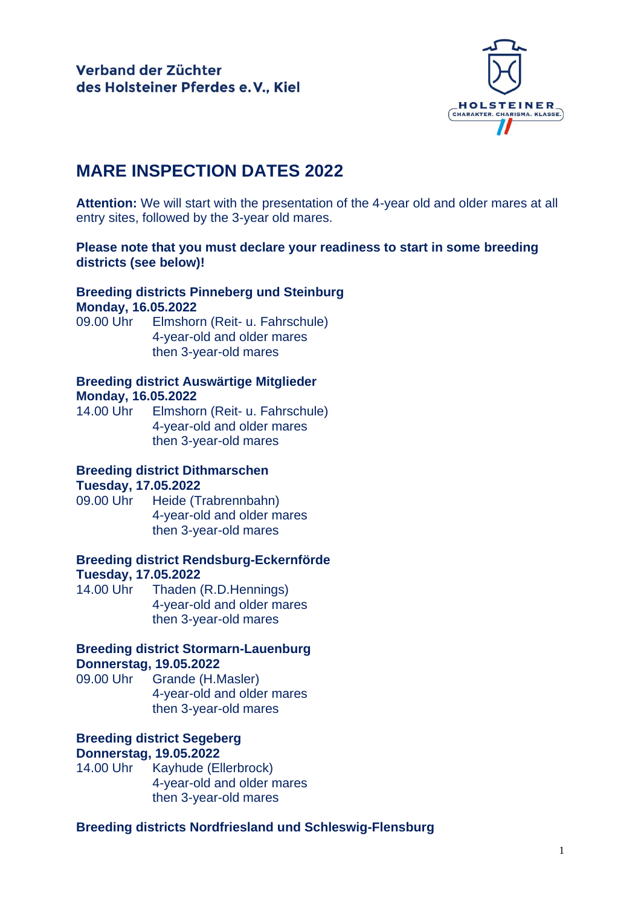

# **MARE INSPECTION DATES 2022**

**Attention:** We will start with the presentation of the 4-year old and older mares at all entry sites, followed by the 3-year old mares.

### **Please note that you must declare your readiness to start in some breeding districts (see below)!**

### **Breeding districts Pinneberg und Steinburg Monday, 16.05.2022**

09.00 Uhr Elmshorn (Reit- u. Fahrschule) 4-year-old and older mares then 3-year-old mares

### **Breeding district Auswärtige Mitglieder Monday, 16.05.2022**

14.00 Uhr Elmshorn (Reit- u. Fahrschule) 4-year-old and older mares then 3-year-old mares

# **Breeding district Dithmarschen**

### **Tuesday, 17.05.2022**

09.00 Uhr Heide (Trabrennbahn) 4-year-old and older mares then 3-year-old mares

### **Breeding district Rendsburg-Eckernförde Tuesday, 17.05.2022**

14.00 Uhr Thaden (R.D.Hennings) 4-year-old and older mares then 3-year-old mares

# **Breeding district Stormarn-Lauenburg Donnerstag, 19.05.2022**

09.00 Uhr Grande (H.Masler) 4-year-old and older mares then 3-year-old mares

## **Breeding district Segeberg Donnerstag, 19.05.2022**

14.00 Uhr Kayhude (Ellerbrock) 4-year-old and older mares then 3-year-old mares

# **Breeding districts Nordfriesland und Schleswig-Flensburg**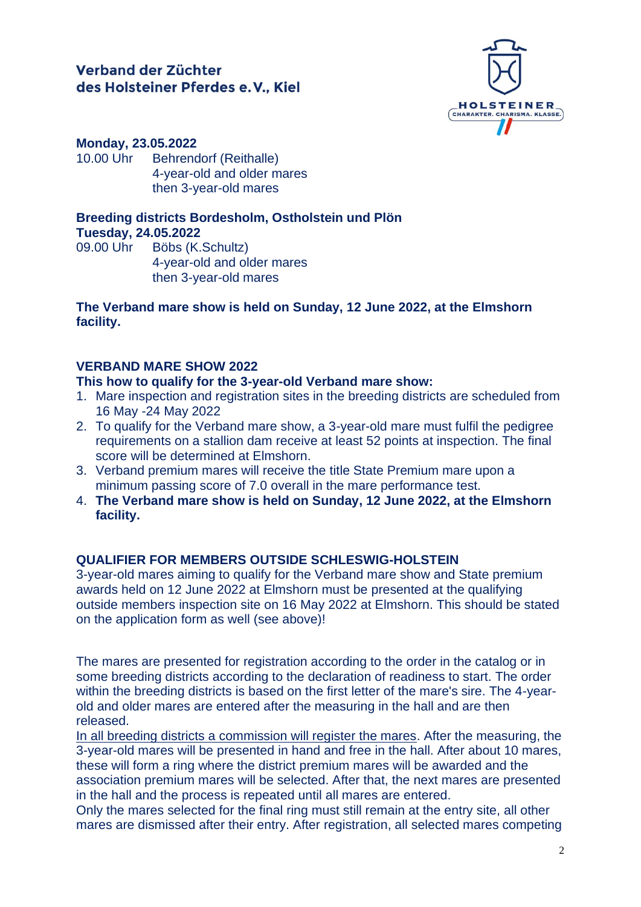# Verband der Züchter des Holsteiner Pferdes e.V., Kiel



#### **Monday, 23.05.2022**

10.00 Uhr Behrendorf (Reithalle) 4-year-old and older mares then 3-year-old mares

#### **Breeding districts Bordesholm, Ostholstein und Plön Tuesday, 24.05.2022**

09.00 Uhr Böbs (K.Schultz) 4-year-old and older mares then 3-year-old mares

#### **The Verband mare show is held on Sunday, 12 June 2022, at the Elmshorn facility.**

### **VERBAND MARE SHOW 2022**

#### **This how to qualify for the 3-year-old Verband mare show:**

- 1. Mare inspection and registration sites in the breeding districts are scheduled from 16 May -24 May 2022
- 2. To qualify for the Verband mare show, a 3-year-old mare must fulfil the pedigree requirements on a stallion dam receive at least 52 points at inspection. The final score will be determined at Elmshorn.
- 3. Verband premium mares will receive the title State Premium mare upon a minimum passing score of 7.0 overall in the mare performance test.
- 4. **The Verband mare show is held on Sunday, 12 June 2022, at the Elmshorn facility.**

### **QUALIFIER FOR MEMBERS OUTSIDE SCHLESWIG-HOLSTEIN**

3-year-old mares aiming to qualify for the Verband mare show and State premium awards held on 12 June 2022 at Elmshorn must be presented at the qualifying outside members inspection site on 16 May 2022 at Elmshorn. This should be stated on the application form as well (see above)!

The mares are presented for registration according to the order in the catalog or in some breeding districts according to the declaration of readiness to start. The order within the breeding districts is based on the first letter of the mare's sire. The 4-yearold and older mares are entered after the measuring in the hall and are then released.

In all breeding districts a commission will register the mares. After the measuring, the 3-year-old mares will be presented in hand and free in the hall. After about 10 mares, these will form a ring where the district premium mares will be awarded and the association premium mares will be selected. After that, the next mares are presented in the hall and the process is repeated until all mares are entered.

Only the mares selected for the final ring must still remain at the entry site, all other mares are dismissed after their entry. After registration, all selected mares competing